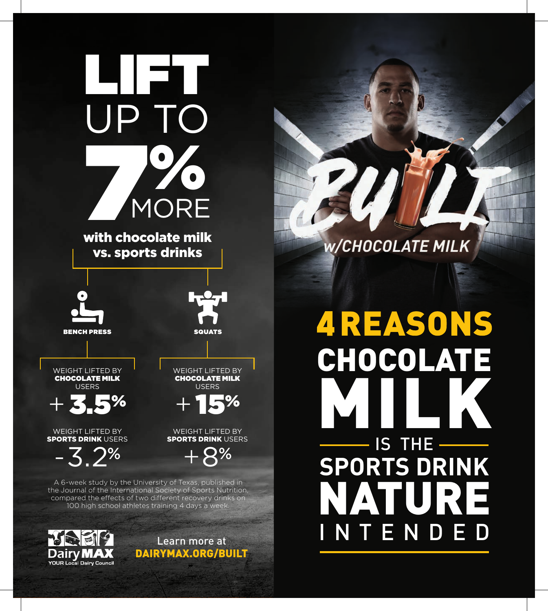

with chocolate milk vs. sports drinks





WEIGHT LIFTED BY CHOCOLATE MILK USERS

+ 3.5%

WEIGHT LIFTED BY **SPORTS DRINK USERS** 

 $-3.2%$ 

WEIGHT LIFTED BY CHOCOLATE MILK USERS

+ 15%

WEIGHT LIFTED BY **SPORTS DRINK USERS** 

 $+8%$ 

A 6-week study by the University of Texas, published in the Journal of the International Society of Sports Nutrition, compared the effects of two different recovery drinks on 100 high school athletes training 4 days a week



Learn more at DAIRYMAX.ORG/BUILT

### W/CHOCOLATE MILK

## **4 REASONS** CHOCOLATE MILK IS THE **SPORTS DRINK**  NATURE INTENDED